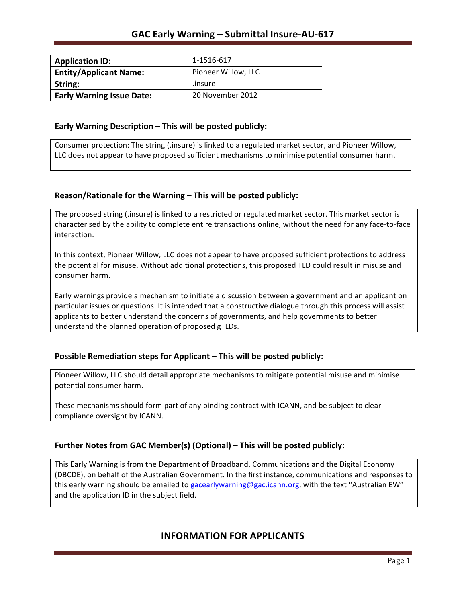| <b>Application ID:</b>           | 1-1516-617          |
|----------------------------------|---------------------|
| <b>Entity/Applicant Name:</b>    | Pioneer Willow, LLC |
| String:                          | .insure             |
| <b>Early Warning Issue Date:</b> | 20 November 2012    |

### **Early Warning Description – This will be posted publicly:**

Consumer protection: The string (.insure) is linked to a regulated market sector, and Pioneer Willow, LLC does not appear to have proposed sufficient mechanisms to minimise potential consumer harm.

### **Reason/Rationale for the Warning – This will be posted publicly:**

The proposed string (.insure) is linked to a restricted or regulated market sector. This market sector is characterised by the ability to complete entire transactions online, without the need for any face-to-face interaction.

In this context, Pioneer Willow, LLC does not appear to have proposed sufficient protections to address the potential for misuse. Without additional protections, this proposed TLD could result in misuse and consumer harm.

Early warnings provide a mechanism to initiate a discussion between a government and an applicant on particular issues or questions. It is intended that a constructive dialogue through this process will assist applicants to better understand the concerns of governments, and help governments to better understand the planned operation of proposed gTLDs.

### **Possible Remediation steps for Applicant – This will be posted publicly:**

Pioneer Willow, LLC should detail appropriate mechanisms to mitigate potential misuse and minimise potential consumer harm.

These mechanisms should form part of any binding contract with ICANN, and be subject to clear compliance oversight by ICANN.

### **Further Notes from GAC Member(s) (Optional)** – This will be posted publicly:

This Early Warning is from the Department of Broadband, Communications and the Digital Economy (DBCDE), on behalf of the Australian Government. In the first instance, communications and responses to this early warning should be emailed to gacearlywarning@gac.icann.org, with the text "Australian EW" and the application ID in the subject field.

### **INFORMATION FOR APPLICANTS**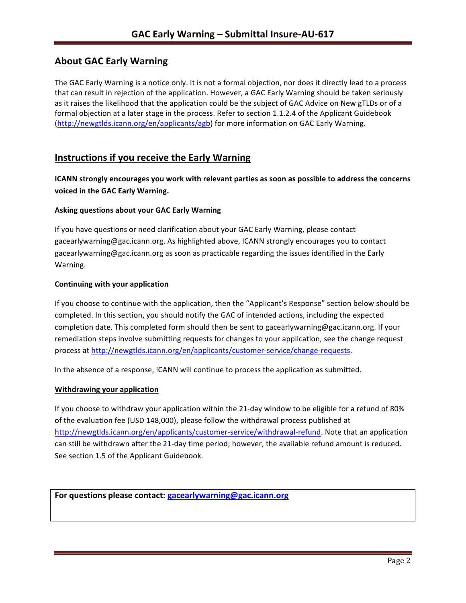# **About GAC Early Warning**

The GAC Early Warning is a notice only. It is not a formal objection, nor does it directly lead to a process that can result in rejection of the application. However, a GAC Early Warning should be taken seriously as it raises the likelihood that the application could be the subject of GAC Advice on New gTLDs or of a formal objection at a later stage in the process. Refer to section 1.1.2.4 of the Applicant Guidebook (http://newgtlds.icann.org/en/applicants/agb) for more information on GAC Early Warning.

# **Instructions if you receive the Early Warning**

**ICANN** strongly encourages you work with relevant parties as soon as possible to address the concerns **voiced in the GAC Early Warning.** 

### **Asking questions about your GAC Early Warning**

If you have questions or need clarification about your GAC Early Warning, please contact gacearlywarning@gac.icann.org. As highlighted above, ICANN strongly encourages you to contact gacearlywarning@gac.icann.org as soon as practicable regarding the issues identified in the Early Warning. 

### **Continuing with your application**

If you choose to continue with the application, then the "Applicant's Response" section below should be completed. In this section, you should notify the GAC of intended actions, including the expected completion date. This completed form should then be sent to gacearlywarning@gac.icann.org. If your remediation steps involve submitting requests for changes to your application, see the change request process at http://newgtlds.icann.org/en/applicants/customer-service/change-requests.

In the absence of a response, ICANN will continue to process the application as submitted.

### **Withdrawing your application**

If you choose to withdraw your application within the 21-day window to be eligible for a refund of 80% of the evaluation fee (USD 148,000), please follow the withdrawal process published at http://newgtlds.icann.org/en/applicants/customer-service/withdrawal-refund. Note that an application can still be withdrawn after the 21-day time period; however, the available refund amount is reduced. See section 1.5 of the Applicant Guidebook.

```
For questions please contact: gacearlywarning@gac.icann.org
```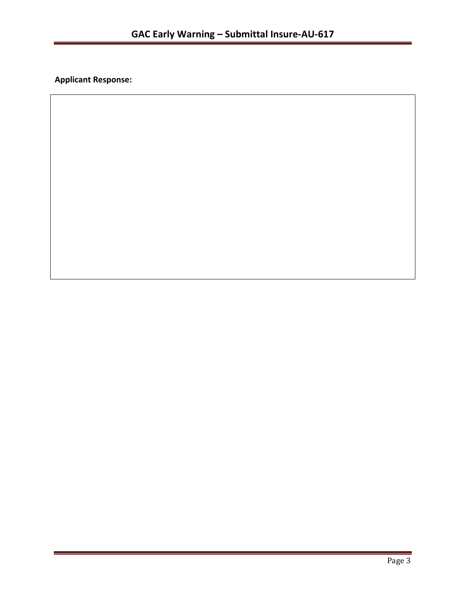**Applicant Response:**